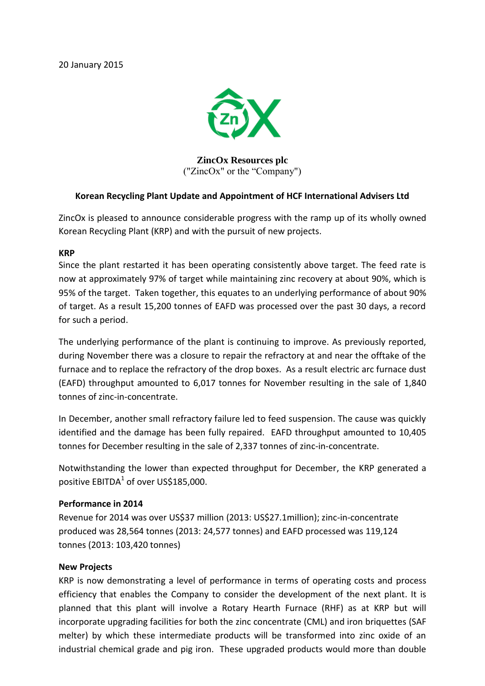20 January 2015



**ZincOx Resources plc** ("ZincOx" or the "Company")

## **Korean Recycling Plant Update and Appointment of HCF International Advisers Ltd**

ZincOx is pleased to announce considerable progress with the ramp up of its wholly owned Korean Recycling Plant (KRP) and with the pursuit of new projects.

## **KRP**

Since the plant restarted it has been operating consistently above target. The feed rate is now at approximately 97% of target while maintaining zinc recovery at about 90%, which is 95% of the target. Taken together, this equates to an underlying performance of about 90% of target. As a result 15,200 tonnes of EAFD was processed over the past 30 days, a record for such a period.

The underlying performance of the plant is continuing to improve. As previously reported, during November there was a closure to repair the refractory at and near the offtake of the furnace and to replace the refractory of the drop boxes. As a result electric arc furnace dust (EAFD) throughput amounted to 6,017 tonnes for November resulting in the sale of 1,840 tonnes of zinc-in-concentrate.

In December, another small refractory failure led to feed suspension. The cause was quickly identified and the damage has been fully repaired. EAFD throughput amounted to 10,405 tonnes for December resulting in the sale of 2,337 tonnes of zinc-in-concentrate.

Notwithstanding the lower than expected throughput for December, the KRP generated a positive  $EBITDA<sup>1</sup>$  of over US\$185,000.

## **Performance in 2014**

Revenue for 2014 was over US\$37 million (2013: US\$27.1million); zinc-in-concentrate produced was 28,564 tonnes (2013: 24,577 tonnes) and EAFD processed was 119,124 tonnes (2013: 103,420 tonnes)

## **New Projects**

KRP is now demonstrating a level of performance in terms of operating costs and process efficiency that enables the Company to consider the development of the next plant. It is planned that this plant will involve a Rotary Hearth Furnace (RHF) as at KRP but will incorporate upgrading facilities for both the zinc concentrate (CML) and iron briquettes (SAF melter) by which these intermediate products will be transformed into zinc oxide of an industrial chemical grade and pig iron. These upgraded products would more than double